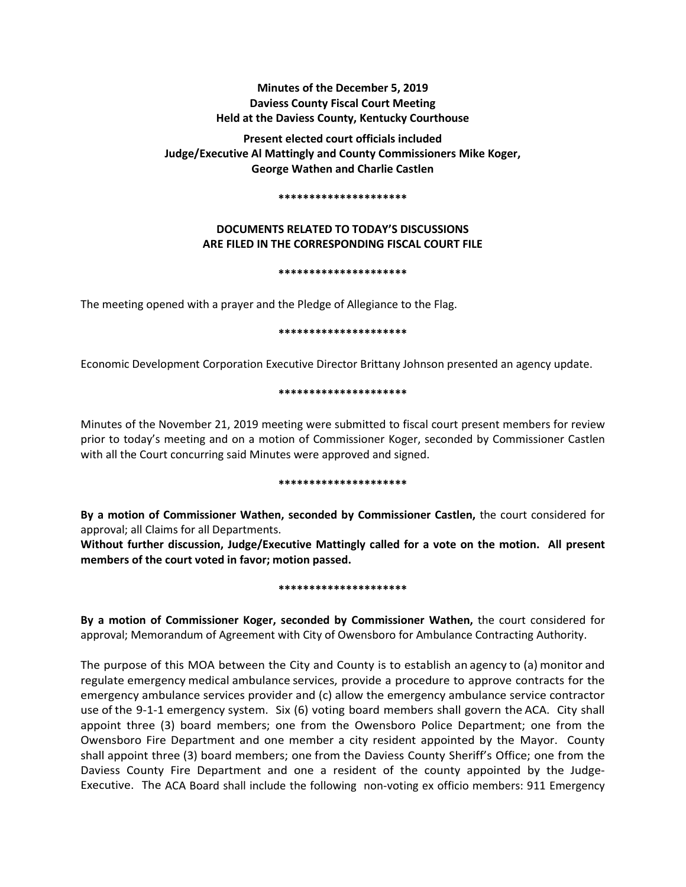# **Minutes of the December 5, 2019 Daviess County Fiscal Court Meeting Held at the Daviess County, Kentucky Courthouse**

**Present elected court officials included Judge/Executive Al Mattingly and County Commissioners Mike Koger, George Wathen and Charlie Castlen** 

#### **\*\*\*\*\*\*\*\*\*\*\*\*\*\*\*\*\*\*\*\*\***

# **DOCUMENTS RELATED TO TODAY'S DISCUSSIONS ARE FILED IN THE CORRESPONDING FISCAL COURT FILE**

### **\*\*\*\*\*\*\*\*\*\*\*\*\*\*\*\*\*\*\*\*\***

The meeting opened with a prayer and the Pledge of Allegiance to the Flag.

### **\*\*\*\*\*\*\*\*\*\*\*\*\*\*\*\*\*\*\*\*\***

Economic Development Corporation Executive Director Brittany Johnson presented an agency update.

# **\*\*\*\*\*\*\*\*\*\*\*\*\*\*\*\*\*\*\*\*\***

Minutes of the November 21, 2019 meeting were submitted to fiscal court present members for review prior to today's meeting and on a motion of Commissioner Koger, seconded by Commissioner Castlen with all the Court concurring said Minutes were approved and signed.

### **\*\*\*\*\*\*\*\*\*\*\*\*\*\*\*\*\*\*\*\*\***

**By a motion of Commissioner Wathen, seconded by Commissioner Castlen,** the court considered for approval; all Claims for all Departments.

**Without further discussion, Judge/Executive Mattingly called for a vote on the motion. All present members of the court voted in favor; motion passed.** 

### **\*\*\*\*\*\*\*\*\*\*\*\*\*\*\*\*\*\*\*\*\***

**By a motion of Commissioner Koger, seconded by Commissioner Wathen,** the court considered for approval; Memorandum of Agreement with City of Owensboro for Ambulance Contracting Authority.

The purpose of this MOA between the City and County is to establish an agency to (a) monitor and regulate emergency medical ambulance services, provide a procedure to approve contracts for the emergency ambulance services provider and (c) allow the emergency ambulance service contractor use of the 9-1-1 emergency system. Six (6) voting board members shall govern the ACA. City shall appoint three (3) board members; one from the Owensboro Police Department; one from the Owensboro Fire Department and one member a city resident appointed by the Mayor. County shall appoint three (3) board members; one from the Daviess County Sheriff's Office; one from the Daviess County Fire Department and one a resident of the county appointed by the Judge-Executive. The ACA Board shall include the following non-voting ex officio members: 911 Emergency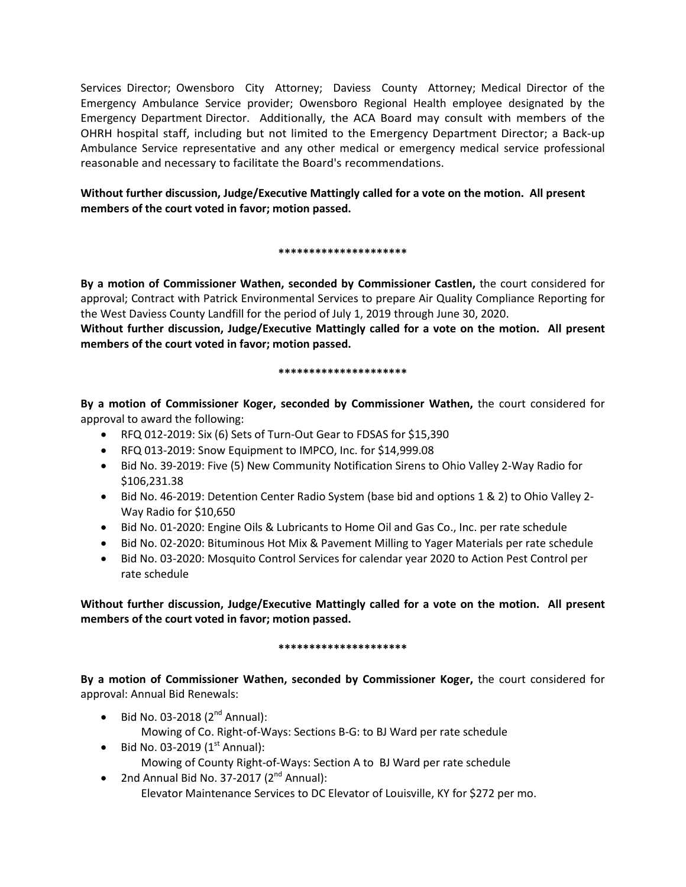Services Director; Owensboro City Attorney; Daviess County Attorney; Medical Director of the Emergency Ambulance Service provider; Owensboro Regional Health employee designated by the Emergency Department Director. Additionally, the ACA Board may consult with members of the OHRH hospital staff, including but not limited to the Emergency Department Director; a Back-up Ambulance Service representative and any other medical or emergency medical service professional reasonable and necessary to facilitate the Board's recommendations.

**Without further discussion, Judge/Executive Mattingly called for a vote on the motion. All present members of the court voted in favor; motion passed.** 

# **\*\*\*\*\*\*\*\*\*\*\*\*\*\*\*\*\*\*\*\*\***

**By a motion of Commissioner Wathen, seconded by Commissioner Castlen,** the court considered for approval; Contract with Patrick Environmental Services to prepare Air Quality Compliance Reporting for the West Daviess County Landfill for the period of July 1, 2019 through June 30, 2020.

**Without further discussion, Judge/Executive Mattingly called for a vote on the motion. All present members of the court voted in favor; motion passed.** 

# **\*\*\*\*\*\*\*\*\*\*\*\*\*\*\*\*\*\*\*\*\***

**By a motion of Commissioner Koger, seconded by Commissioner Wathen,** the court considered for approval to award the following:

- RFQ 012-2019: Six (6) Sets of Turn-Out Gear to FDSAS for \$15,390
- RFQ 013-2019: Snow Equipment to IMPCO, Inc. for \$14,999.08
- Bid No. 39-2019: Five (5) New Community Notification Sirens to Ohio Valley 2-Way Radio for \$106,231.38
- Bid No. 46-2019: Detention Center Radio System (base bid and options 1 & 2) to Ohio Valley 2- Way Radio for \$10,650
- Bid No. 01-2020: Engine Oils & Lubricants to Home Oil and Gas Co., Inc. per rate schedule
- Bid No. 02-2020: Bituminous Hot Mix & Pavement Milling to Yager Materials per rate schedule
- Bid No. 03-2020: Mosquito Control Services for calendar year 2020 to Action Pest Control per rate schedule

**Without further discussion, Judge/Executive Mattingly called for a vote on the motion. All present members of the court voted in favor; motion passed.** 

# **\*\*\*\*\*\*\*\*\*\*\*\*\*\*\*\*\*\*\*\*\***

**By a motion of Commissioner Wathen, seconded by Commissioner Koger,** the court considered for approval: Annual Bid Renewals:

- Bid No. 03-2018  $(2^{nd}$  Annual): Mowing of Co. Right-of-Ways: Sections B-G: to BJ Ward per rate schedule
- Bid No. 03-2019  $(1<sup>st</sup>$  Annual): Mowing of County Right-of-Ways: Section A to BJ Ward per rate schedule
- 2nd Annual Bid No. 37-2017  $(2^{nd}$  Annual): Elevator Maintenance Services to DC Elevator of Louisville, KY for \$272 per mo.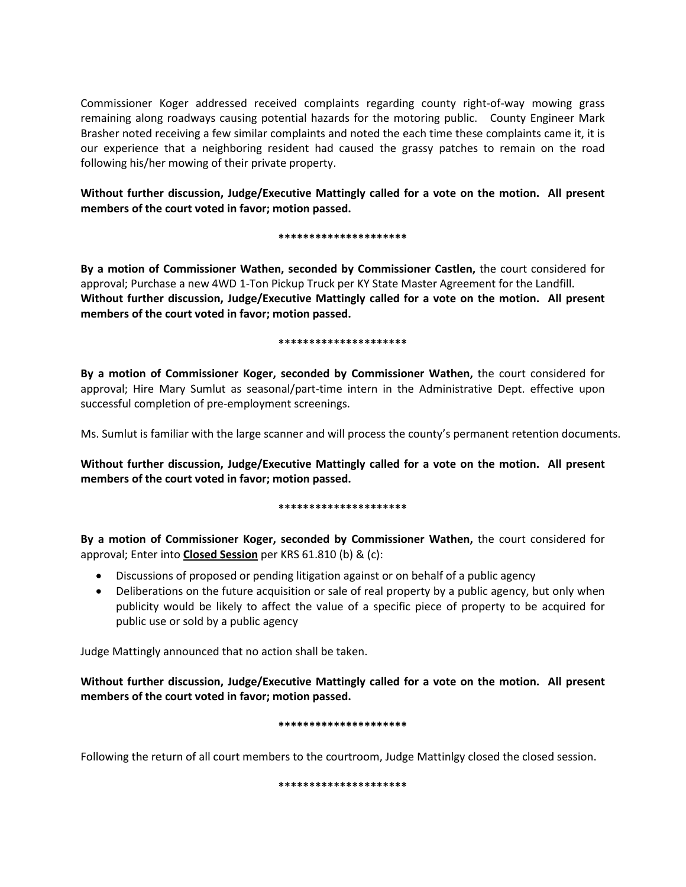Commissioner Koger addressed received complaints regarding county right-of-way mowing grass remaining along roadways causing potential hazards for the motoring public. County Engineer Mark Brasher noted receiving a few similar complaints and noted the each time these complaints came it, it is our experience that a neighboring resident had caused the grassy patches to remain on the road following his/her mowing of their private property.

**Without further discussion, Judge/Executive Mattingly called for a vote on the motion. All present members of the court voted in favor; motion passed.** 

# **\*\*\*\*\*\*\*\*\*\*\*\*\*\*\*\*\*\*\*\*\***

**By a motion of Commissioner Wathen, seconded by Commissioner Castlen,** the court considered for approval; Purchase a new 4WD 1-Ton Pickup Truck per KY State Master Agreement for the Landfill. **Without further discussion, Judge/Executive Mattingly called for a vote on the motion. All present members of the court voted in favor; motion passed.** 

# **\*\*\*\*\*\*\*\*\*\*\*\*\*\*\*\*\*\*\*\*\***

**By a motion of Commissioner Koger, seconded by Commissioner Wathen,** the court considered for approval; Hire Mary Sumlut as seasonal/part-time intern in the Administrative Dept. effective upon successful completion of pre-employment screenings.

Ms. Sumlut is familiar with the large scanner and will process the county's permanent retention documents.

**Without further discussion, Judge/Executive Mattingly called for a vote on the motion. All present members of the court voted in favor; motion passed.** 

### **\*\*\*\*\*\*\*\*\*\*\*\*\*\*\*\*\*\*\*\*\***

**By a motion of Commissioner Koger, seconded by Commissioner Wathen,** the court considered for approval; Enter into **Closed Session** per KRS 61.810 (b) & (c):

- Discussions of proposed or pending litigation against or on behalf of a public agency
- Deliberations on the future acquisition or sale of real property by a public agency, but only when publicity would be likely to affect the value of a specific piece of property to be acquired for public use or sold by a public agency

Judge Mattingly announced that no action shall be taken.

**Without further discussion, Judge/Executive Mattingly called for a vote on the motion. All present members of the court voted in favor; motion passed.** 

# **\*\*\*\*\*\*\*\*\*\*\*\*\*\*\*\*\*\*\*\*\***

Following the return of all court members to the courtroom, Judge Mattinlgy closed the closed session.

### **\*\*\*\*\*\*\*\*\*\*\*\*\*\*\*\*\*\*\*\*\***